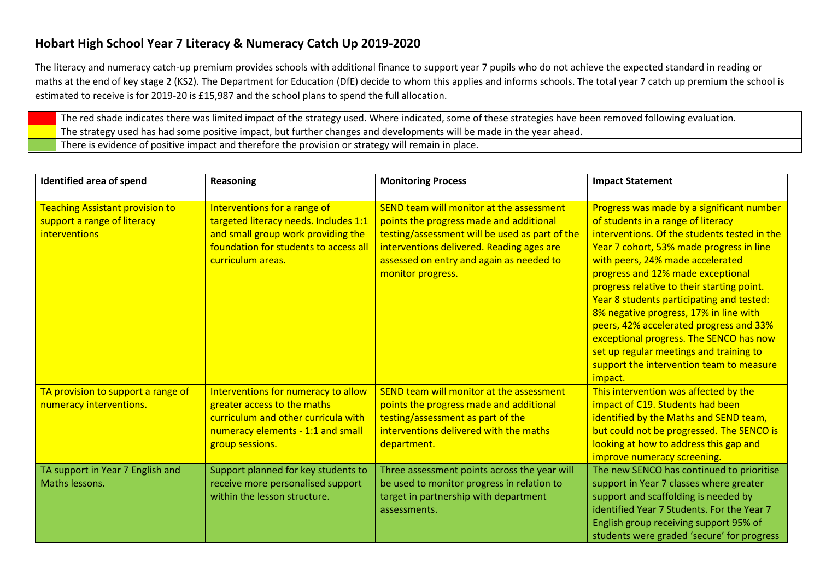## **Hobart High School Year 7 Literacy & Numeracy Catch Up 2019-2020**

The literacy and numeracy catch-up premium provides schools with additional finance to support year 7 pupils who do not achieve the expected standard in reading or maths at the end of key stage 2 (KS2). The Department for Education (DfE) decide to whom this applies and informs schools. The total year 7 catch up premium the school is estimated to receive is for 2019-20 is £15,987 and the school plans to spend the full allocation.

The red shade indicates there was limited impact of the strategy used. Where indicated, some of these strategies have been removed following evaluation. The strategy used has had some positive impact, but further changes and developments will be made in the year ahead. There is evidence of positive impact and therefore the provision or strategy will remain in place.

| Identified area of spend                                                               | Reasoning                                                                                                                                                                 | <b>Monitoring Process</b>                                                                                                                                                                                                                           | <b>Impact Statement</b>                                                                                                                                                                                                                                                                                                                                                                                                                                                                                                                                                           |
|----------------------------------------------------------------------------------------|---------------------------------------------------------------------------------------------------------------------------------------------------------------------------|-----------------------------------------------------------------------------------------------------------------------------------------------------------------------------------------------------------------------------------------------------|-----------------------------------------------------------------------------------------------------------------------------------------------------------------------------------------------------------------------------------------------------------------------------------------------------------------------------------------------------------------------------------------------------------------------------------------------------------------------------------------------------------------------------------------------------------------------------------|
| <b>Teaching Assistant provision to</b><br>support a range of literacy<br>interventions | Interventions for a range of<br>targeted literacy needs. Includes 1:1<br>and small group work providing the<br>foundation for students to access all<br>curriculum areas. | SEND team will monitor at the assessment<br>points the progress made and additional<br>testing/assessment will be used as part of the<br>interventions delivered. Reading ages are<br>assessed on entry and again as needed to<br>monitor progress. | Progress was made by a significant number<br>of students in a range of literacy<br>interventions. Of the students tested in the<br>Year 7 cohort, 53% made progress in line<br>with peers, 24% made accelerated<br>progress and 12% made exceptional<br>progress relative to their starting point.<br>Year 8 students participating and tested:<br>8% negative progress, 17% in line with<br>peers, 42% accelerated progress and 33%<br>exceptional progress. The SENCO has now<br>set up regular meetings and training to<br>support the intervention team to measure<br>impact. |
| TA provision to support a range of<br>numeracy interventions.                          | Interventions for numeracy to allow<br>greater access to the maths<br>curriculum and other curricula with<br>numeracy elements - 1:1 and small<br>group sessions.         | SEND team will monitor at the assessment<br>points the progress made and additional<br>testing/assessment as part of the<br>interventions delivered with the maths<br>department.                                                                   | This intervention was affected by the<br>impact of C19. Students had been<br>identified by the Maths and SEND team,<br>but could not be progressed. The SENCO is<br>looking at how to address this gap and<br>improve numeracy screening.                                                                                                                                                                                                                                                                                                                                         |
| TA support in Year 7 English and<br>Maths lessons.                                     | Support planned for key students to<br>receive more personalised support<br>within the lesson structure.                                                                  | Three assessment points across the year will<br>be used to monitor progress in relation to<br>target in partnership with department<br>assessments.                                                                                                 | The new SENCO has continued to prioritise<br>support in Year 7 classes where greater<br>support and scaffolding is needed by<br>identified Year 7 Students. For the Year 7<br>English group receiving support 95% of<br>students were graded 'secure' for progress                                                                                                                                                                                                                                                                                                                |